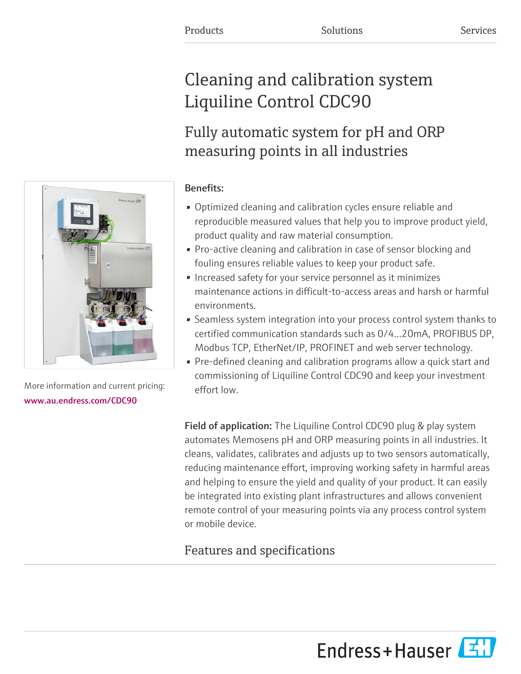# Cleaning and calibration system Liquiline Control CDC90

## Fully automatic system for pH and ORP measuring points in all industries

### Benefits:

- Optimized cleaning and calibration cycles ensure reliable and reproducible measured values that help you to improve product yield, product quality and raw material consumption.
- Pro-active cleaning and calibration in case of sensor blocking and fouling ensures reliable values to keep your product safe.
- Increased safety for your service personnel as it minimizes maintenance actions in difficult-to-access areas and harsh or harmful environments.
- Seamless system integration into your process control system thanks to certified communication standards such as 0/4…20mA, PROFIBUS DP, Modbus TCP, EtherNet/IP, PROFINET and web server technology.
- Pre-defined cleaning and calibration programs allow a quick start and commissioning of Liquiline Control CDC90 and keep your investment effort low.

Field of application: The Liquiline Control CDC90 plug & play system automates Memosens pH and ORP measuring points in all industries. It cleans, validates, calibrates and adjusts up to two sensors automatically, reducing maintenance effort, improving working safety in harmful areas and helping to ensure the yield and quality of your product. It can easily be integrated into existing plant infrastructures and allows convenient remote control of your measuring points via any process control system or mobile device.

## Features and specifications



More information and current pricing: [www.au.endress.com/CDC90](https://www.au.endress.com/CDC90)